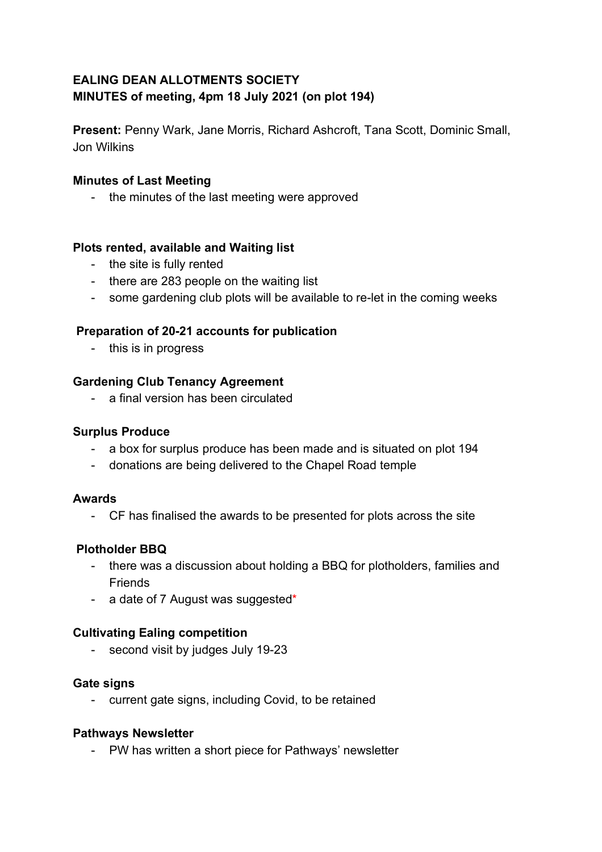# **EALING DEAN ALLOTMENTS SOCIETY MINUTES of meeting, 4pm 18 July 2021 (on plot 194)**

**Present:** Penny Wark, Jane Morris, Richard Ashcroft, Tana Scott, Dominic Small, Jon Wilkins

### **Minutes of Last Meeting**

- the minutes of the last meeting were approved

### **Plots rented, available and Waiting list**

- the site is fully rented
- there are 283 people on the waiting list
- some gardening club plots will be available to re-let in the coming weeks

## **Preparation of 20-21 accounts for publication**

- this is in progress

### **Gardening Club Tenancy Agreement**

- a final version has been circulated

#### **Surplus Produce**

- a box for surplus produce has been made and is situated on plot 194
- donations are being delivered to the Chapel Road temple

#### **Awards**

- CF has finalised the awards to be presented for plots across the site

## **Plotholder BBQ**

- there was a discussion about holding a BBQ for plotholders, families and Friends
- a date of 7 August was suggested\*

## **Cultivating Ealing competition**

- second visit by judges July 19-23

#### **Gate signs**

- current gate signs, including Covid, to be retained

#### **Pathways Newsletter**

- PW has written a short piece for Pathways' newsletter